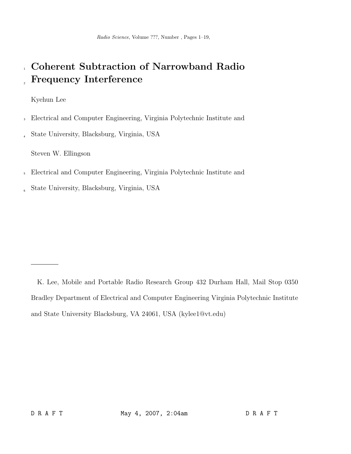Radio Science, Volume ???, Number , Pages 1–19,

# <sup>1</sup> Coherent Subtraction of Narrowband Radio **Frequency Interference**

Kyehun Lee

- <sup>3</sup> Electrical and Computer Engineering, Virginia Polytechnic Institute and
- <sup>4</sup> State University, Blacksburg, Virginia, USA

Steven W. Ellingson

- <sup>5</sup> Electrical and Computer Engineering, Virginia Polytechnic Institute and
- <sup>6</sup> State University, Blacksburg, Virginia, USA

K. Lee, Mobile and Portable Radio Research Group 432 Durham Hall, Mail Stop 0350 Bradley Department of Electrical and Computer Engineering Virginia Polytechnic Institute and State University Blacksburg, VA 24061, USA (kylee1@vt.edu)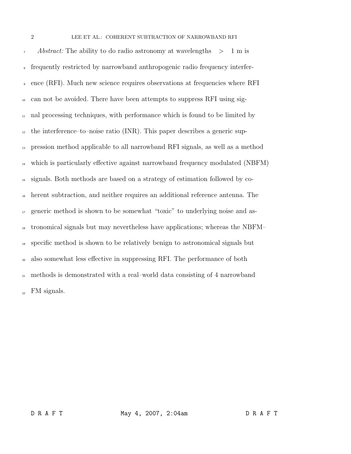Abstract: The ability to do radio astronomy at wavelengths  $>1$  m is frequently restricted by narrowband anthropogenic radio frequency interfer- ence (RFI). Much new science requires observations at frequencies where RFI can not be avoided. There have been attempts to suppress RFI using sig- nal processing techniques, with performance which is found to be limited by  $_{12}$  the interference–to–noise ratio (INR). This paper describes a generic sup- pression method applicable to all narrowband RFI signals, as well as a method which is particularly effective against narrowband frequency modulated (NBFM) signals. Both methods are based on a strategy of estimation followed by co- herent subtraction, and neither requires an additional reference antenna. The generic method is shown to be somewhat "toxic" to underlying noise and as- tronomical signals but may nevertheless have applications; whereas the NBFM– specific method is shown to be relatively benign to astronomical signals but also somewhat less effective in suppressing RFI. The performance of both methods is demonstrated with a real–world data consisting of 4 narrowband  $\mu_{22}$  FM signals.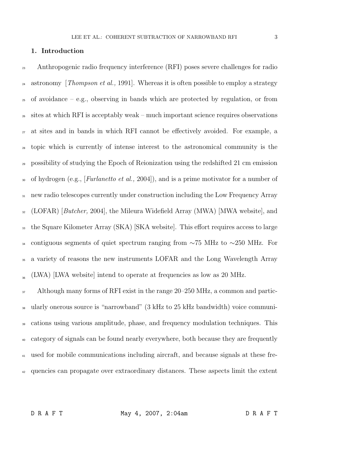#### 1. Introduction

 Anthropogenic radio frequency interference (RFI) poses severe challenges for radio <sup>24</sup> astronomy *[Thompson et al.,* 1991]. Whereas it is often possible to employ a strategy  $_{25}$  of avoidance – e.g., observing in bands which are protected by regulation, or from sites at which RFI is acceptably weak – much important science requires observations at sites and in bands in which RFI cannot be effectively avoided. For example, a topic which is currently of intense interest to the astronomical community is the possibility of studying the Epoch of Reionization using the redshifted 21 cm emission <sup>30</sup> of hydrogen (e.g., [*Furlanetto et al.*, 2004]), and is a prime motivator for a number of <sup>31</sup> new radio telescopes currently under construction including the Low Frequency Array (LOFAR) [Butcher, 2004], the Mileura Widefield Array (MWA) [MWA website], and the Square Kilometer Array (SKA) [SKA website]. This effort requires access to large contiguous segments of quiet spectrum ranging from ∼75 MHz to ∼250 MHz. For a variety of reasons the new instruments LOFAR and the Long Wavelength Array  $_{\infty}$  (LWA) [LWA website] intend to operate at frequencies as low as 20 MHz.

 Although many forms of RFI exist in the range 20–250 MHz, a common and partic- ularly onerous source is "narrowband" (3 kHz to 25 kHz bandwidth) voice communi- cations using various amplitude, phase, and frequency modulation techniques. This category of signals can be found nearly everywhere, both because they are frequently used for mobile communications including aircraft, and because signals at these fre-quencies can propagate over extraordinary distances. These aspects limit the extent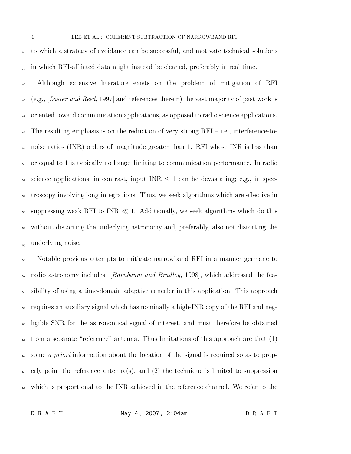<sup>43</sup> to which a strategy of avoidance can be successful, and motivate technical solutions in which RFI-afflicted data might instead be cleaned, preferably in real time. <sup>44</sup>

<sup>45</sup> Although extensive literature exists on the problem of mitigation of RFI  $_{46}$  (e.g., [Laster and Reed, 1997] and references therein) the vast majority of past work is <sup>47</sup> oriented toward communication applications, as opposed to radio science applications. <sup>48</sup> The resulting emphasis is on the reduction of very strong  $RFI - i.e.,$  interference-to-<sup>49</sup> noise ratios (INR) orders of magnitude greater than 1. RFI whose INR is less than <sup>50</sup> or equal to 1 is typically no longer limiting to communication performance. In radio 51 science applications, in contrast, input INR  $\leq$  1 can be devastating; e.g., in spec-<sup>52</sup> troscopy involving long integrations. Thus, we seek algorithms which are effective in 53 suppressing weak RFI to INR  $\ll 1$ . Additionally, we seek algorithms which do this <sup>54</sup> without distorting the underlying astronomy and, preferably, also not distorting the underlying noise. <sup>55</sup>

<sup>56</sup> Notable previous attempts to mitigate narrowband RFI in a manner germane to  $_{57}$  radio astronomy includes [*Barnbaum and Bradley,* 1998], which addressed the fea-<sup>58</sup> sibility of using a time-domain adaptive canceler in this application. This approach <sup>59</sup> requires an auxiliary signal which has nominally a high-INR copy of the RFI and neg-• ligible SNR for the astronomical signal of interest, and must therefore be obtained  $\epsilon$ <sub>01</sub> from a separate "reference" antenna. Thus limitations of this approach are that (1)  $\omega$  some a priori information about the location of the signal is required so as to prop-<sup>63</sup> erly point the reference antenna(s), and (2) the technique is limited to suppression <sub>64</sub> which is proportional to the INR achieved in the reference channel. We refer to the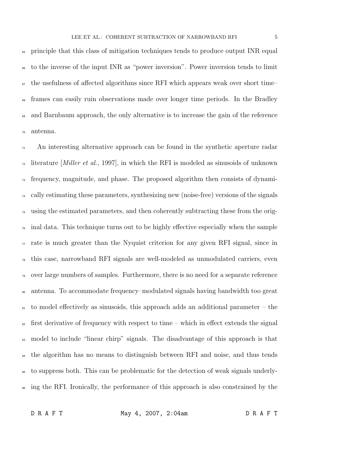<sup>65</sup> principle that this class of mitigation techniques tends to produce output INR equal <sup>66</sup> to the inverse of the input INR as "power inversion". Power inversion tends to limit  $\sigma$  the usefulness of affected algorithms since RFI which appears weak over short time– <sup>68</sup> frames can easily ruin observations made over longer time periods. In the Bradley <sup>69</sup> and Barnbaum approach, the only alternative is to increase the gain of the reference <sup>70</sup> antenna.

 $\eta_1$  An interesting alternative approach can be found in the synthetic aperture radar <sup>72</sup> literature [*Miller et al.*, 1997], in which the RFI is modeled as sinusoids of unknown <sup>73</sup> frequency, magnitude, and phase. The proposed algorithm then consists of dynami- $\alpha$  cally estimating these parameters, synthesizing new (noise-free) versions of the signals <sup>75</sup> using the estimated parameters, and then coherently subtracting these from the orig- $\tau_6$  inal data. This technique turns out to be highly effective especially when the sample  $\pi$  rate is much greater than the Nyquist criterion for any given RFI signal, since in <sup>78</sup> this case, narrowband RFI signals are well-modeled as unmodulated carriers, even <sup>79</sup> over large numbers of samples. Furthermore, there is no need for a separate reference <sup>80</sup> antenna. To accommodate frequency–modulated signals having bandwidth too great  $\frac{1}{81}$  to model effectively as sinusoids, this approach adds an additional parameter – the  $\frac{1}{82}$  first derivative of frequency with respect to time – which in effect extends the signal <sup>83</sup> model to include "linear chirp" signals. The disadvantage of this approach is that <sup>84</sup> the algorithm has no means to distinguish between RFI and noise, and thus tends <sup>85</sup> to suppress both. This can be problematic for the detection of weak signals underly-<sup>86</sup> ing the RFI. Ironically, the performance of this approach is also constrained by the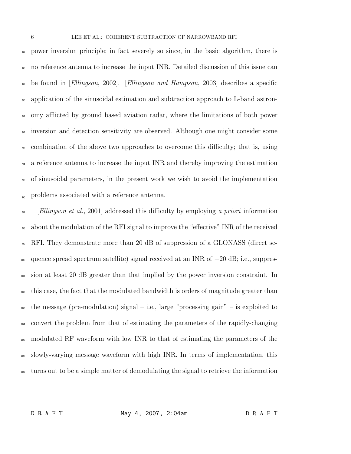<sup>87</sup> power inversion principle; in fact severely so since, in the basic algorithm, there is no reference antenna to increase the input INR. Detailed discussion of this issue can <sup>89</sup> be found in [Ellingson, 2002]. [Ellingson and Hampson, 2003] describes a specific application of the sinusoidal estimation and subtraction approach to L-band astron- omy afflicted by ground based aviation radar, where the limitations of both power inversion and detection sensitivity are observed. Although one might consider some combination of the above two approaches to overcome this difficulty; that is, using a reference antenna to increase the input INR and thereby improving the estimation of sinusoidal parameters, in the present work we wish to avoid the implementation <sub>96</sub> problems associated with a reference antenna.

<sup>97</sup> [Ellingson et al., 2001] addressed this difficulty by employing a priori information about the modulation of the RFI signal to improve the "effective" INR of the received RFI. They demonstrate more than 20 dB of suppression of a GLONASS (direct se- quence spread spectrum satellite) signal received at an INR of −20 dB; i.e., suppres-<sup>101</sup> sion at least 20 dB greater than that implied by the power inversion constraint. In <sup>102</sup> this case, the fact that the modulated bandwidth is orders of magnitude greater than  $\mu_{103}$  the message (pre-modulation) signal – i.e., large "processing gain" – is exploited to convert the problem from that of estimating the parameters of the rapidly-changing modulated RF waveform with low INR to that of estimating the parameters of the slowly-varying message waveform with high INR. In terms of implementation, this <sup>107</sup> turns out to be a simple matter of demodulating the signal to retrieve the information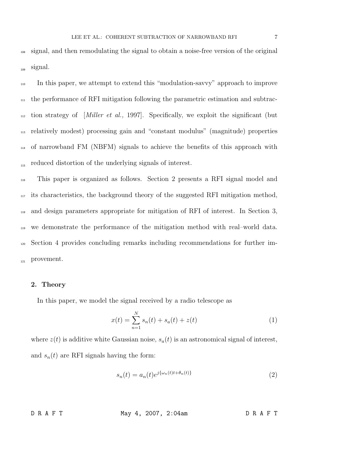<sup>108</sup> signal, and then remodulating the signal to obtain a noise-free version of the original <sub>109</sub> signal.

 In this paper, we attempt to extend this "modulation-savvy" approach to improve  $\mu$ <sup>111</sup> the performance of RFI mitigation following the parametric estimation and subtrac- tion strategy of *[Miller et al.,* 1997]. Specifically, we exploit the significant (but relatively modest) processing gain and "constant modulus" (magnitude) properties of narrowband FM (NBFM) signals to achieve the benefits of this approach with reduced distortion of the underlying signals of interest.

 This paper is organized as follows. Section 2 presents a RFI signal model and its characteristics, the background theory of the suggested RFI mitigation method, and design parameters appropriate for mitigation of RFI of interest. In Section 3, we demonstrate the performance of the mitigation method with real–world data. Section 4 provides concluding remarks including recommendations for further im-121 provement.

#### 2. Theory

In this paper, we model the signal received by a radio telescope as

$$
x(t) = \sum_{n=1}^{N} s_n(t) + s_a(t) + z(t)
$$
 (1)

where  $z(t)$  is additive white Gaussian noise,  $s_a(t)$  is an astronomical signal of interest, and  $s_n(t)$  are RFI signals having the form:

$$
s_n(t) = a_n(t)e^{j\{\omega_n(t)t + \theta_n(t)\}}
$$
\n<sup>(2)</sup>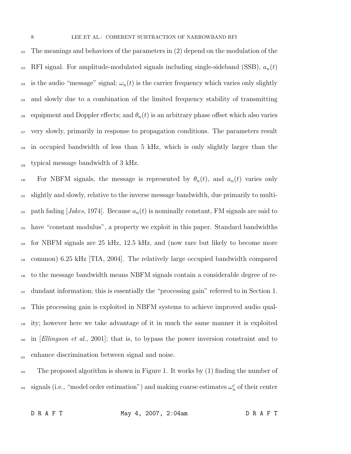$122$  The meanings and behaviors of the parameters in (2) depend on the modulation of the <sup>123</sup> RFI signal. For amplitude-modulated signals including single-sideband (SSB),  $a_n(t)$ <sup>124</sup> is the audio "message" signal;  $\omega_n(t)$  is the carrier frequency which varies only slightly <sup>125</sup> and slowly due to a combination of the limited frequency stability of transmitting 126 equipment and Doppler effects; and  $\theta_n(t)$  is an arbitrary phase offset which also varies <sup>127</sup> very slowly, primarily in response to propagation conditions. The parameters result <sup>128</sup> in occupied bandwidth of less than 5 kHz, which is only slightly larger than the typical message bandwidth of 3 kHz.

130 For NBFM signals, the message is represented by  $\theta_n(t)$ , and  $a_n(t)$  varies only <sup>131</sup> slightly and slowly, relative to the inverse message bandwidth, due primarily to multi-<sup>132</sup> path fading [*Jakes*, 1974]. Because  $a_n(t)$  is nominally constant, FM signals are said to <sup>133</sup> have "constant modulus", a property we exploit in this paper. Standard bandwidths <sup>134</sup> for NBFM signals are 25 kHz, 12.5 kHz, and (now rare but likely to become more <sup>135</sup> common) 6.25 kHz [TIA, 2004]. The relatively large occupied bandwidth compared <sup>136</sup> to the message bandwidth means NBFM signals contain a considerable degree of re-<sup>137</sup> dundant information; this is essentially the "processing gain" referred to in Section 1. <sup>138</sup> This processing gain is exploited in NBFM systems to achieve improved audio qual-<sup>139</sup> ity; however here we take advantage of it in much the same manner it is exploited  $\mu_{140}$  in *Ellingson et al.*, 2001, that is, to bypass the power inversion constraint and to  $_{141}$  enhance discrimination between signal and noise.

 $142$  The proposed algorithm is shown in Figure 1. It works by (1) finding the number of <sup>143</sup> signals (i.e., "model order estimation") and making coarse estimates  $\omega_n^c$  of their center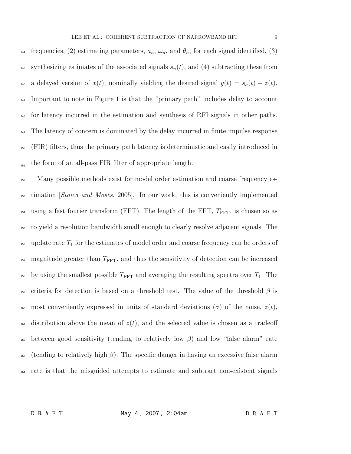144 frequencies, (2) estimating parameters,  $a_n$ ,  $\omega_n$ , and  $\theta_n$ , for each signal identified, (3) <sup>145</sup> synthesizing estimates of the associated signals  $s_n(t)$ , and (4) subtracting these from <sup>146</sup> a delayed version of  $x(t)$ , nominally yielding the desired signal  $y(t) = s_a(t) + z(t)$ .  $_{147}$  Important to note in Figure 1 is that the "primary path" includes delay to account <sup>148</sup> for latency incurred in the estimation and synthesis of RFI signals in other paths. <sup>149</sup> The latency of concern is dominated by the delay incurred in finite impulse response <sup>150</sup> (FIR) filters, thus the primary path latency is deterministic and easily introduced in the form of an all-pass FIR filter of appropriate length.

<sup>152</sup> Many possible methods exist for model order estimation and coarse frequency es-<sup>153</sup> timation *Stoica and Moses*, 2005. In our work, this is conveniently implemented  $_{154}$  using a fast fourier transform (FFT). The length of the FFT,  $T_{\text{FFT}}$ , is chosen so as <sup>155</sup> to yield a resolution bandwidth small enough to clearly resolve adjacent signals. The  $_{156}$  update rate  $T_1$  for the estimates of model order and coarse frequency can be orders of  $_{157}$  magnitude greater than  $T_{\text{FFT}}$ , and thus the sensitivity of detection can be increased <sup>158</sup> by using the smallest possible  $T_{\text{FFT}}$  and averaging the resulting spectra over  $T_1$ . The 159 criteria for detection is based on a threshold test. The value of the threshold  $\beta$  is 160 most conveniently expressed in units of standard deviations ( $\sigma$ ) of the noise,  $z(t)$ , <sup>161</sup> distribution above the mean of  $z(t)$ , and the selected value is chosen as a tradeoff <sup>162</sup> between good sensitivity (tending to relatively low  $\beta$ ) and low "false alarm" rate  $_{163}$  (tending to relatively high  $\beta$ ). The specific danger in having an excessive false alarm <sup>164</sup> rate is that the misguided attempts to estimate and subtract non-existent signals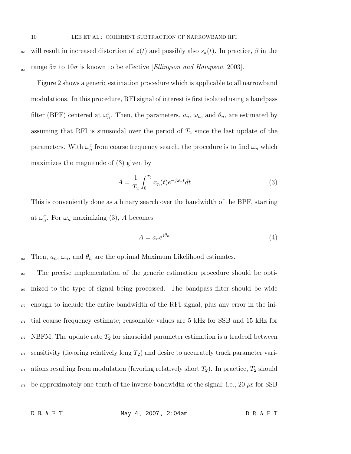<sup>165</sup> will result in increased distortion of  $z(t)$  and possibly also  $s_a(t)$ . In practice,  $\beta$  in the range  $5\sigma$  to  $10\sigma$  is known to be effective [Ellingson and Hampson, 2003].

Figure 2 shows a generic estimation procedure which is applicable to all narrowband modulations. In this procedure, RFI signal of interest is first isolated using a bandpass filter (BPF) centered at  $\omega_n^c$ . Then, the parameters,  $a_n$ ,  $\omega_n$ , and  $\theta_n$ , are estimated by assuming that RFI is sinusoidal over the period of  $T_2$  since the last update of the parameters. With  $\omega_n^c$  from coarse frequency search, the procedure is to find  $\omega_n$  which maximizes the magnitude of (3) given by

$$
A = \frac{1}{T_2} \int_0^{T_2} x_n(t) e^{-j\omega_n t} dt
$$
 (3)

This is conveniently done as a binary search over the bandwidth of the BPF, starting at  $\omega_n^c$ . For  $\omega_n$  maximizing (3), A becomes

$$
A = a_n e^{j\theta_n} \tag{4}
$$

 $T_{167}$  Then,  $a_n$ ,  $\omega_n$ , and  $\theta_n$  are the optimal Maximum Likelihood estimates.

 The precise implementation of the generic estimation procedure should be opti- mized to the type of signal being processed. The bandpass filter should be wide enough to include the entire bandwidth of the RFI signal, plus any error in the ini- tial coarse frequency estimate; reasonable values are 5 kHz for SSB and 15 kHz for NBFM. The update rate  $T_2$  for sinusoidal parameter estimation is a tradeoff between sensitivity (favoring relatively long  $T_2$ ) and desire to accurately track parameter vari-<sup>174</sup> ations resulting from modulation (favoring relatively short  $T_2$ ). In practice,  $T_2$  should  $_{175}$  be approximately one-tenth of the inverse bandwidth of the signal; i.e., 20  $\mu$ s for SSB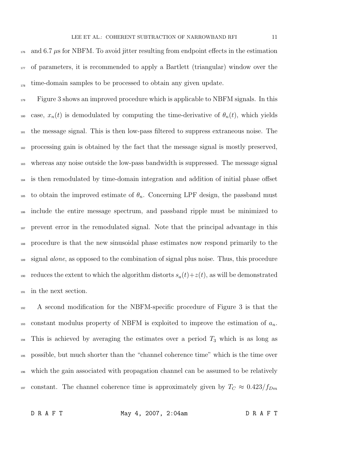$_{176}$  and 6.7  $\mu$ s for NBFM. To avoid jitter resulting from endpoint effects in the estimation <sup>177</sup> of parameters, it is recommended to apply a Bartlett (triangular) window over the  $\frac{1}{178}$  time-domain samples to be processed to obtain any given update.

<sup>179</sup> Figure 3 shows an improved procedure which is applicable to NBFM signals. In this 180 case,  $x_n(t)$  is demodulated by computing the time-derivative of  $\theta_n(t)$ , which yields <sup>181</sup> the message signal. This is then low-pass filtered to suppress extraneous noise. The <sup>182</sup> processing gain is obtained by the fact that the message signal is mostly preserved, <sup>183</sup> whereas any noise outside the low-pass bandwidth is suppressed. The message signal <sup>184</sup> is then remodulated by time-domain integration and addition of initial phase offset 185 to obtain the improved estimate of  $\theta_n$ . Concerning LPF design, the passband must <sup>186</sup> include the entire message spectrum, and passband ripple must be minimized to <sup>187</sup> prevent error in the remodulated signal. Note that the principal advantage in this <sup>188</sup> procedure is that the new sinusoidal phase estimates now respond primarily to the <sup>189</sup> signal *alone*, as opposed to the combination of signal plus noise. Thus, this procedure <sup>190</sup> reduces the extent to which the algorithm distorts  $s_a(t) + z(t)$ , as will be demonstrated <sup>191</sup> in the next section.

 A second modification for the NBFM-specific procedure of Figure 3 is that the 193 constant modulus property of NBFM is exploited to improve the estimation of  $a_n$ . This is achieved by averaging the estimates over a period  $T_3$  which is as long as possible, but much shorter than the "channel coherence time" which is the time over which the gain associated with propagation channel can be assumed to be relatively <sup>197</sup> constant. The channel coherence time is approximately given by  $T_c \approx 0.423/f_{Dm}$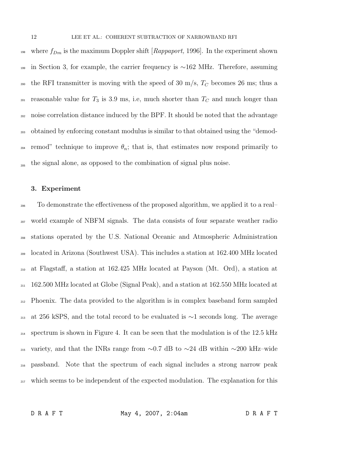<sup>198</sup> where  $f_{Dm}$  is the maximum Doppler shift [*Rappaport*, 1996]. In the experiment shown <sup>199</sup> in Section 3, for example, the carrier frequency is ∼162 MHz. Therefore, assuming 200 the RFI transmitter is moving with the speed of 30 m/s,  $T_C$  becomes 26 ms; thus a <sup>201</sup> reasonable value for  $T_3$  is 3.9 ms, i.e, much shorter than  $T_C$  and much longer than <sup>202</sup> noise correlation distance induced by the BPF. It should be noted that the advantage <sup>203</sup> obtained by enforcing constant modulus is similar to that obtained using the "demod- $_{204}$  remod" technique to improve  $\theta_n$ ; that is, that estimates now respond primarily to the signal alone, as opposed to the combination of signal plus noise.

### 3. Experiment

 To demonstrate the effectiveness of the proposed algorithm, we applied it to a real– world example of NBFM signals. The data consists of four separate weather radio stations operated by the U.S. National Oceanic and Atmospheric Administration located in Arizona (Southwest USA). This includes a station at 162.400 MHz located at Flagstaff, a station at 162.425 MHz located at Payson (Mt. Ord), a station at <sup>211</sup> 162.500 MHz located at Globe (Signal Peak), and a station at 162.550 MHz located at Phoenix. The data provided to the algorithm is in complex baseband form sampled at 256 kSPS, and the total record to be evaluated is ∼1 seconds long. The average <sup>214</sup> spectrum is shown in Figure 4. It can be seen that the modulation is of the 12.5 kHz 215 variety, and that the INRs range from  $\sim$ 0.7 dB to  $\sim$ 24 dB within  $\sim$ 200 kHz–wide passband. Note that the spectrum of each signal includes a strong narrow peak <sup>217</sup> which seems to be independent of the expected modulation. The explanation for this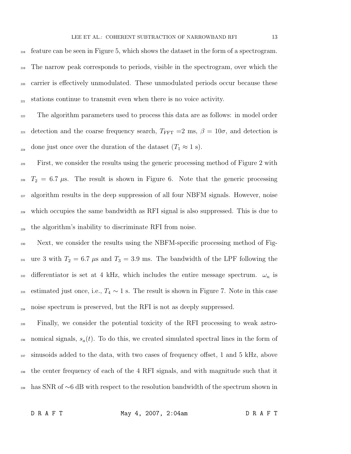<sup>218</sup> feature can be seen in Figure 5, which shows the dataset in the form of a spectrogram. <sup>219</sup> The narrow peak corresponds to periods, visible in the spectrogram, over which the <sub>220</sub> carrier is effectively unmodulated. These unmodulated periods occur because these  $_{221}$  stations continue to transmit even when there is no voice activity.

<sup>222</sup> The algorithm parameters used to process this data are as follows: in model order <sup>223</sup> detection and the coarse frequency search,  $T_{\text{FFT}} = 2 \text{ ms}$ ,  $\beta = 10\sigma$ , and detection is <sub>224</sub> done just once over the duration of the dataset  $(T_1 \approx 1 \text{ s})$ .

<sup>225</sup> First, we consider the results using the generic processing method of Figure 2 with  $T_2 = 6.7 \mu s$ . The result is shown in Figure 6. Note that the generic processing <sub>227</sub> algorithm results in the deep suppression of all four NBFM signals. However, noise <sup>228</sup> which occupies the same bandwidth as RFI signal is also suppressed. This is due to the algorithm's inability to discriminate RFI from noise.

<sup>230</sup> Next, we consider the results using the NBFM-specific processing method of Fig-<sup>231</sup> ure 3 with  $T_2 = 6.7 \text{ }\mu\text{s}$  and  $T_3 = 3.9 \text{ ms}$ . The bandwidth of the LPF following the 232 differentiator is set at 4 kHz, which includes the entire message spectrum.  $\omega_n$  is 233 estimated just once, i.e.,  $T_4 \sim 1$  s. The result is shown in Figure 7. Note in this case noise spectrum is preserved, but the RFI is not as deeply suppressed.

<sup>235</sup> Finally, we consider the potential toxicity of the RFI processing to weak astro-236 nomical signals,  $s_a(t)$ . To do this, we created simulated spectral lines in the form of <sup>237</sup> sinusoids added to the data, with two cases of frequency offset, 1 and 5 kHz, above <sup>238</sup> the center frequency of each of the 4 RFI signals, and with magnitude such that it <sup>239</sup> has SNR of ∼6 dB with respect to the resolution bandwidth of the spectrum shown in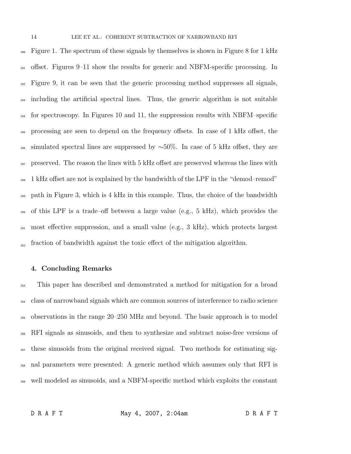<sup>240</sup> Figure 1. The spectrum of these signals by themselves is shown in Figure 8 for 1 kHz  $_{241}$  offset. Figures 9–11 show the results for generic and NBFM-specific processing. In  $_{242}$  Figure 9, it can be seen that the generic processing method suppresses all signals, <sup>243</sup> including the artificial spectral lines. Thus, the generic algorithm is not suitable <sup>244</sup> for spectroscopy. In Figures 10 and 11, the suppression results with NBFM–specific <sup>245</sup> processing are seen to depend on the frequency offsets. In case of 1 kHz offset, the 246 simulated spectral lines are suppressed by  $~\sim 50\%$ . In case of 5 kHz offset, they are  $_{247}$  preserved. The reason the lines with 5 kHz offset are preserved whereas the lines with <sup>248</sup> 1 kHz offset are not is explained by the bandwidth of the LPF in the "demod-remod" <sub>249</sub> path in Figure 3, which is 4 kHz in this example. Thus, the choice of the bandwidth <sup>250</sup> of this LPF is a trade–off between a large value (e.g., 5 kHz), which provides the <sup>251</sup> most effective suppression, and a small value (e.g., 3 kHz), which protects largest  $_{252}$  fraction of bandwidth against the toxic effect of the mitigation algorithm.

### 4. Concluding Remarks

 This paper has described and demonstrated a method for mitigation for a broad class of narrowband signals which are common sources of interference to radio science observations in the range 20–250 MHz and beyond. The basic approach is to model RFI signals as sinusoids, and then to synthesize and subtract noise-free versions of <sub>257</sub> these sinusoids from the original received signal. Two methods for estimating sig- nal parameters were presented: A generic method which assumes only that RFI is well modeled as sinusoids, and a NBFM-specific method which exploits the constant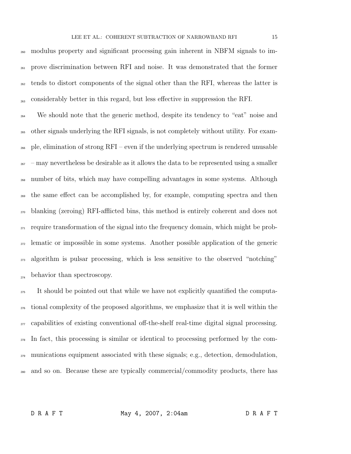modulus property and significant processing gain inherent in NBFM signals to im- prove discrimination between RFI and noise. It was demonstrated that the former <sub>262</sub> tends to distort components of the signal other than the RFI, whereas the latter is <sub>263</sub> considerably better in this regard, but less effective in suppression the RFI.

 We should note that the generic method, despite its tendency to "eat" noise and other signals underlying the RFI signals, is not completely without utility. For exam- ple, elimination of strong RFI – even if the underlying spectrum is rendered unusable  $_{267}$  – may nevertheless be desirable as it allows the data to be represented using a smaller number of bits, which may have compelling advantages in some systems. Although the same effect can be accomplished by, for example, computing spectra and then blanking (zeroing) RFI-afflicted bins, this method is entirely coherent and does not <sub>271</sub> require transformation of the signal into the frequency domain, which might be prob- lematic or impossible in some systems. Another possible application of the generic <sub>273</sub> algorithm is pulsar processing, which is less sensitive to the observed "notching"  $_{274}$  behavior than spectroscopy.

 It should be pointed out that while we have not explicitly quantified the computa- tional complexity of the proposed algorithms, we emphasize that it is well within the <sub>277</sub> capabilities of existing conventional off-the-shelf real-time digital signal processing. In fact, this processing is similar or identical to processing performed by the com- munications equipment associated with these signals; e.g., detection, demodulation, and so on. Because these are typically commercial/commodity products, there has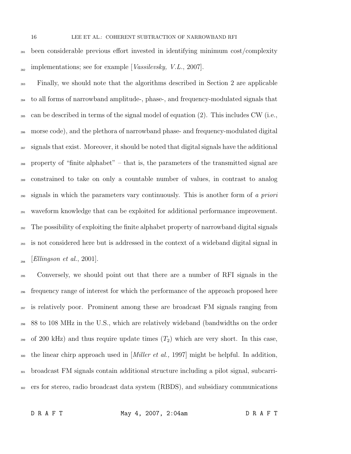been considerable previous effort invested in identifying minimum cost/complexity  $\mu_{\text{282}}$  implementations; see for example [*Vassilevsky*, *V.L.*, 2007].

 Finally, we should note that the algorithms described in Section 2 are applicable to all forms of narrowband amplitude-, phase-, and frequency-modulated signals that <sup>285</sup> can be described in terms of the signal model of equation  $(2)$ . This includes CW (i.e., morse code), and the plethora of narrowband phase- and frequency-modulated digital signals that exist. Moreover, it should be noted that digital signals have the additional property of "finite alphabet" – that is, the parameters of the transmitted signal are constrained to take on only a countable number of values, in contrast to analog  $_{290}$  signals in which the parameters vary continuously. This is another form of a priori waveform knowledge that can be exploited for additional performance improvement. The possibility of exploiting the finite alphabet property of narrowband digital signals is not considered here but is addressed in the context of a wideband digital signal in  $\sum_{294}$  [Ellingson et al., 2001].

 Conversely, we should point out that there are a number of RFI signals in the frequency range of interest for which the performance of the approach proposed here is relatively poor. Prominent among these are broadcast FM signals ranging from 88 to 108 MHz in the U.S., which are relatively wideband (bandwidths on the order <sup>299</sup> of 200 kHz) and thus require update times  $(T_2)$  which are very short. In this case, <sub>300</sub> the linear chirp approach used in [*Miller et al.*, 1997] might be helpful. In addition, <sup>301</sup> broadcast FM signals contain additional structure including a pilot signal, subcarri-ers for stereo, radio broadcast data system (RBDS), and subsidiary communications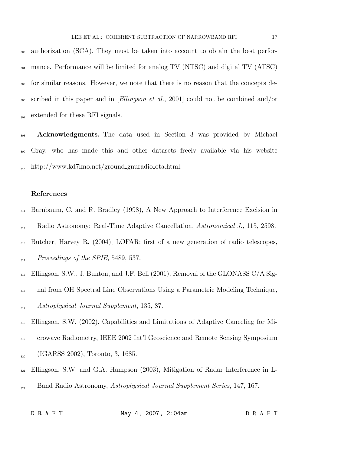<sup>303</sup> authorization (SCA). They must be taken into account to obtain the best perfor-<sup>304</sup> mance. Performance will be limited for analog TV (NTSC) and digital TV (ATSC) <sup>305</sup> for similar reasons. However, we note that there is no reason that the concepts de-<sup>306</sup> scribed in this paper and in [Ellingson et al., 2001] could not be combined and/or <sub>307</sub> extended for these RFI signals.

<sup>308</sup> Acknowledgments. The data used in Section 3 was provided by Michael <sup>309</sup> Gray, who has made this and other datasets freely available via his website  $h_{10}$  http://www.kd7lmo.net/ground\_gnuradio\_ota.html.

## References

- <sup>311</sup> Barnbaum, C. and R. Bradley (1998), A New Approach to Interference Excision in  $R$ adio Astronomy: Real-Time Adaptive Cancellation, Astronomical J., 115, 2598.
- <sup>313</sup> Butcher, Harvey R. (2004), LOFAR: first of a new generation of radio telescopes,  $Proceedings of the SPIE, 5489, 537.$
- <sup>315</sup> Ellingson, S.W., J. Bunton, and J.F. Bell (2001), Removal of the GLONASS C/A Sig-
- <sup>316</sup> nal from OH Spectral Line Observations Using a Parametric Modeling Technique,  $A strongly sical Journal Supplement, 135, 87.$
- <sup>318</sup> Ellingson, S.W. (2002), Capabilities and Limitations of Adaptive Canceling for Mi-
- <sup>319</sup> crowave Radiometry, IEEE 2002 Int'l Geoscience and Remote Sensing Symposium  $\sum_{320}$  (IGARSS 2002), Toronto, 3, 1685.
- <sup>321</sup> Ellingson, S.W. and G.A. Hampson (2003), Mitigation of Radar Interference in L- $B<sub>322</sub>$  Band Radio Astronomy, Astrophysical Journal Supplement Series, 147, 167.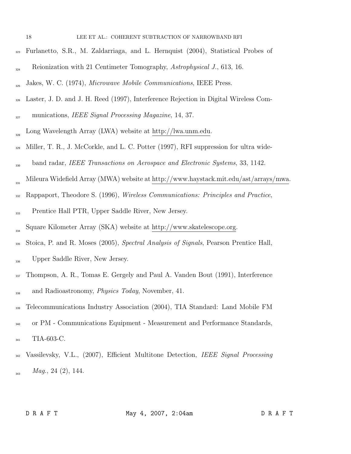#### 18 LEE ET AL.: COHERENT SUBTRACTION OF NARROWBAND RFI

- <sup>323</sup> Furlanetto, S.R., M. Zaldarriaga, and L. Hernquist (2004), Statistical Probes of
- Reionization with 21 Centimeter Tomography, Astrophysical J., 613, 16.
- $J<sub>255</sub>$  Jakes, W. C. (1974), Microwave Mobile Communications, IEEE Press.
- <sup>326</sup> Laster, J. D. and J. H. Reed (1997), Interference Rejection in Digital Wireless Com-

munications, IEEE Signal Processing Magazine, 14, 37.

- Long Wavelength Array (LWA) website at http://lwa.unm.edu. 328
- <sup>329</sup> Miller, T. R., J. McCorkle, and L. C. Potter (1997), RFI suppression for ultra wide-
- band radar, IEEE Transactions on Aerospace and Electronic Systems, 33, 1142.
- Mileura Widefield Array (MWA) website at http://www.haystack.mit.edu/ast/arrays/mwa. 331
- <sup>332</sup> Rappaport, Theodore S. (1996), *Wireless Communications: Principles and Practice*,
- <sub>333</sub> Prentice Hall PTR, Upper Saddle River, New Jersey.
- Square Kilometer Array (SKA) website at http://www.skatelescope.org. 334
- <sup>335</sup> Stoica, P. and R. Moses (2005), Spectral Analysis of Signals, Pearson Prentice Hall,  $U$ <sub>336</sub> Upper Saddle River, New Jersey.
- <sup>337</sup> Thompson, A. R., Tomas E. Gergely and Paul A. Vanden Bout (1991), Interference <sub>338</sub> and Radioastronomy, *Physics Today*, November, 41.
- <sup>339</sup> Telecommunications Industry Association (2004), TIA Standard: Land Mobile FM
- <sup>340</sup> or PM Communications Equipment Measurement and Performance Standards, 341 TIA-603-C.
- <sup>342</sup> Vassilevsky, V.L., (2007), Efficient Multitone Detection, *IEEE Signal Processing*  $_{343}$  Mag., 24 (2), 144.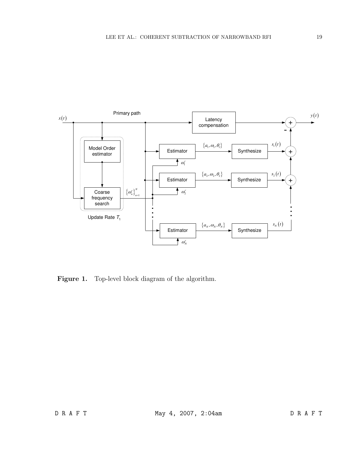

Figure 1. Top-level block diagram of the algorithm.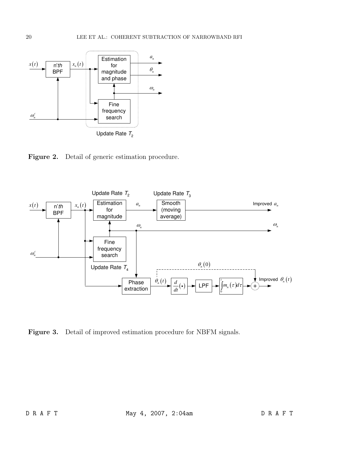

Figure 2. Detail of generic estimation procedure.



Figure 3. Detail of improved estimation procedure for NBFM signals.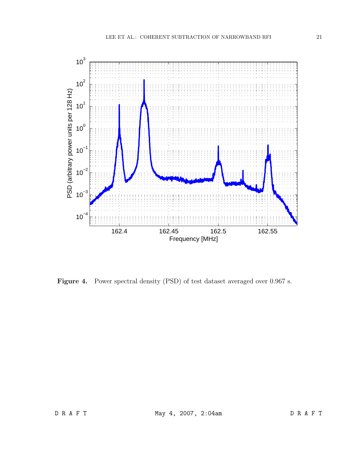

Figure 4. Power spectral density (PSD) of test dataset averaged over 0.967 s.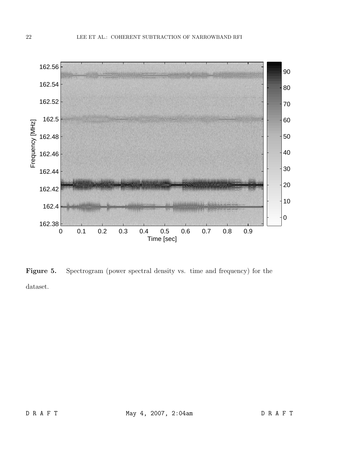

Figure 5. Spectrogram (power spectral density vs. time and frequency) for the dataset.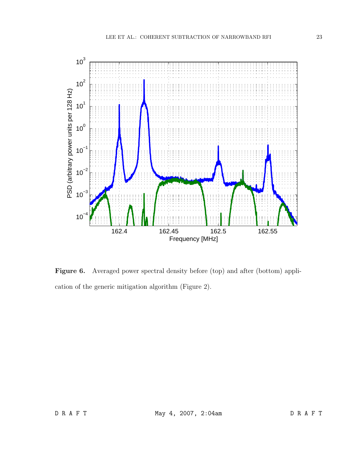

Figure 6. Averaged power spectral density before (top) and after (bottom) application of the generic mitigation algorithm (Figure 2).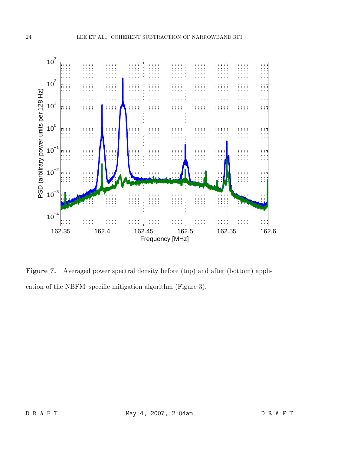

Figure 7. Averaged power spectral density before (top) and after (bottom) application of the NBFM–specific mitigation algorithm (Figure 3).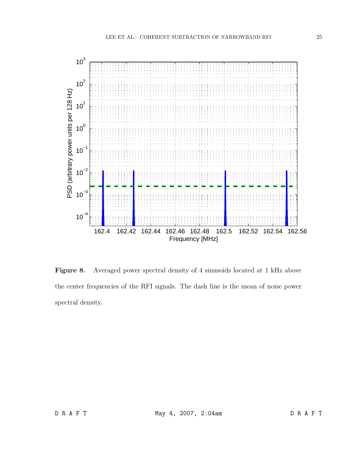![](_page_24_Figure_1.jpeg)

Figure 8. Averaged power spectral density of 4 sinusoids located at 1 kHz above the center frequencies of the RFI signals. The dash line is the mean of noise power spectral density.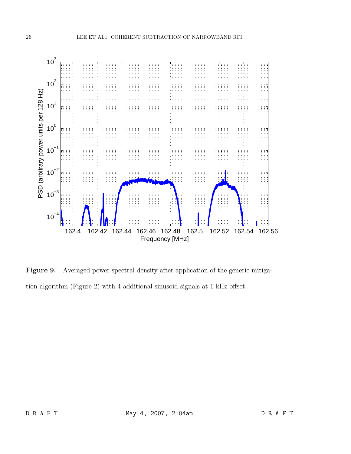![](_page_25_Figure_1.jpeg)

Figure 9. Averaged power spectral density after application of the generic mitigation algorithm (Figure 2) with 4 additional sinusoid signals at 1 kHz offset.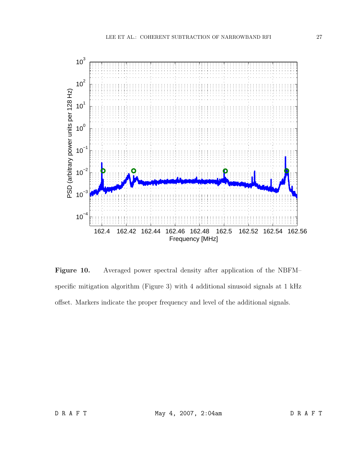![](_page_26_Figure_1.jpeg)

Figure 10. Averaged power spectral density after application of the NBFM– specific mitigation algorithm (Figure 3) with 4 additional sinusoid signals at 1 kHz offset. Markers indicate the proper frequency and level of the additional signals.